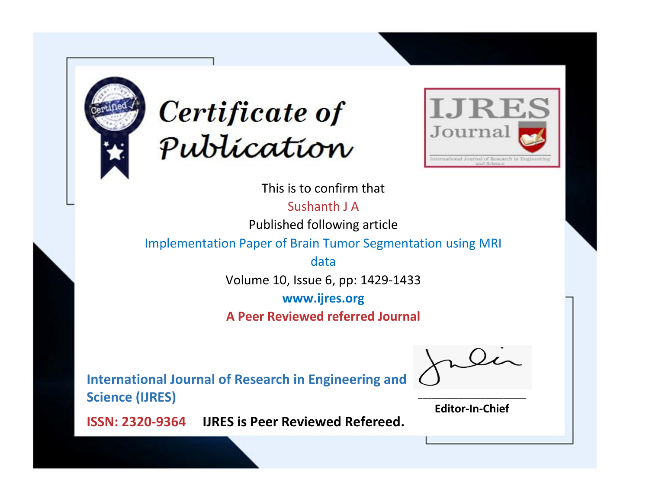



This is to confirm that

Sushanth J A

Published following article

Implementation Paper of Brain Tumor Segmentation using MRI

data Volume 10, Issue 6, pp: 1429-1433

**www.ijres.org**

**A Peer Reviewed referred Journal**

**International Journal of Research in Engineering and Science (IJRES)**

\_\_\_\_\_\_\_\_\_\_\_\_\_\_\_\_\_\_\_\_\_\_\_\_ **Editor-In-Chief**

**Journal.**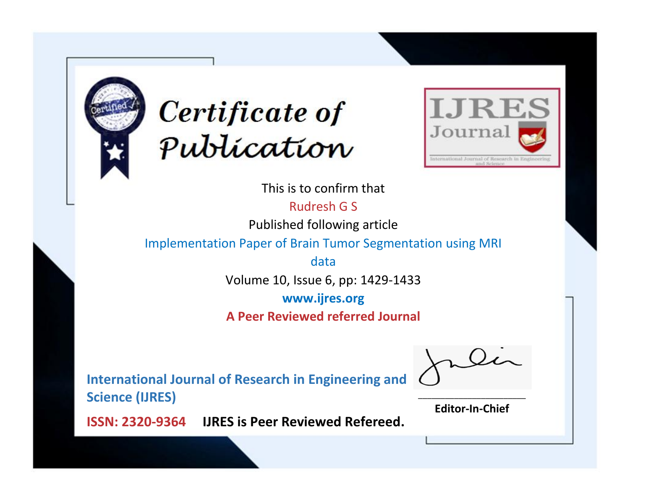



This is to confirm that

Rudresh G S

Published following article

Implementation Paper of Brain Tumor Segmentation using MRI

data

Volume 10, Issue 6, pp: 1429-1433

**www.ijres.org**

**A Peer Reviewed referred Journal**

**International Journal of Research in Engineering and Science (IJRES)**

\_\_\_\_\_\_\_\_\_\_\_\_\_\_\_\_\_\_\_\_\_\_\_\_ **Editor-In-Chief**

**Journal.**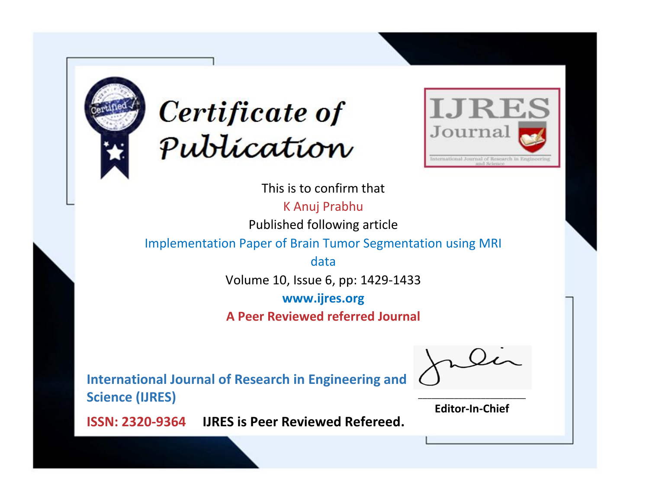



This is to confirm that

K Anuj Prabhu

Published following article

Implementation Paper of Brain Tumor Segmentation using MRI

data

Volume 10, Issue 6, pp: 1429-1433

**www.ijres.org**

**A Peer Reviewed referred Journal**

**International Journal of Research in Engineering and Science (IJRES)**

\_\_\_\_\_\_\_\_\_\_\_\_\_\_\_\_\_\_\_\_\_\_\_\_ **Editor-In-Chief**

**Journal.**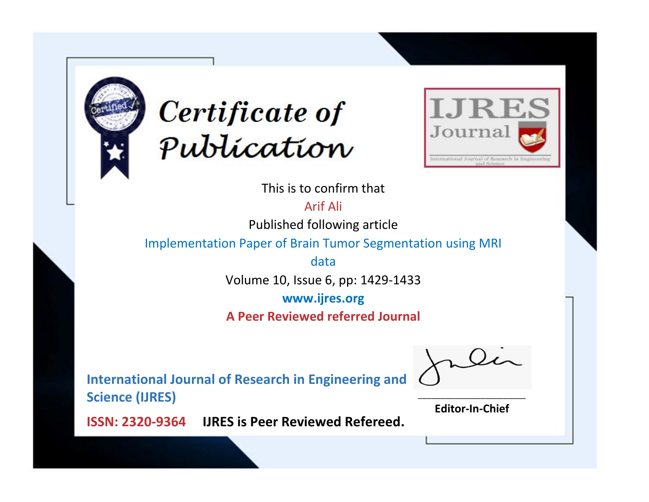



This is to confirm that

Arif Ali

Published following article

Implementation Paper of Brain Tumor Segmentation using MRI

data Volume 10, Issue 6, pp: 1429-1433

**www.ijres.org**

**A Peer Reviewed referred Journal**

**International Journal of Research in Engineering and Science (IJRES)**

\_\_\_\_\_\_\_\_\_\_\_\_\_\_\_\_\_\_\_\_\_\_\_\_ **Editor-In-Chief**

**Journal.**